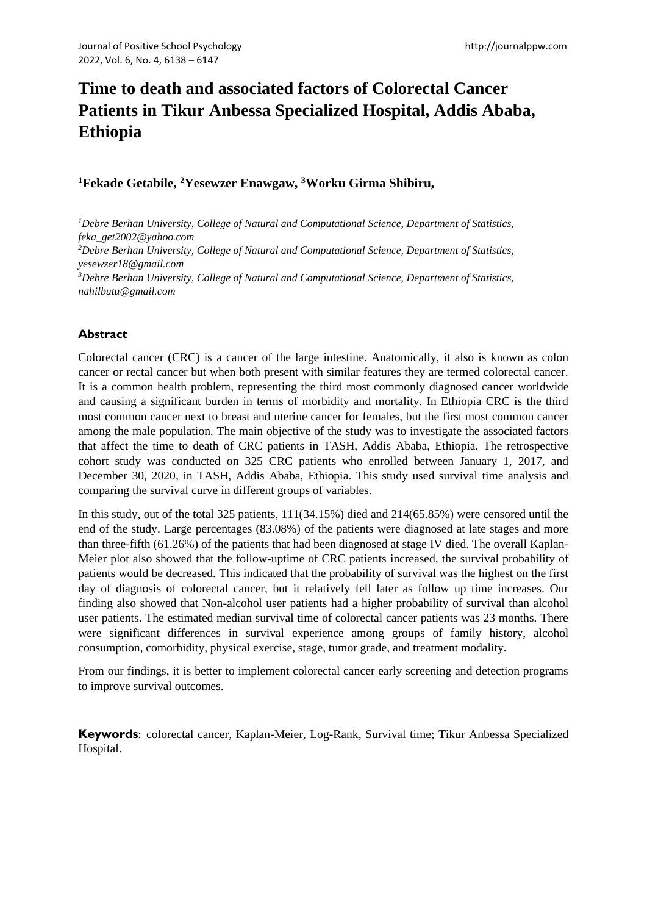# **Time to death and associated factors of Colorectal Cancer Patients in Tikur Anbessa Specialized Hospital, Addis Ababa, Ethiopia**

# **<sup>1</sup>Fekade Getabile, <sup>2</sup>Yesewzer Enawgaw, <sup>3</sup>Worku Girma Shibiru,**

*<sup>1</sup>Debre Berhan University, College of Natural and Computational Science, Department of Statistics, feka\_get2002@yahoo.com <sup>2</sup>Debre Berhan University, College of Natural and Computational Science, Department of Statistics, yesewzer18@gmail.com <sup>3</sup>Debre Berhan University, College of Natural and Computational Science, Department of Statistics, nahilbutu@gmail.com*

# **Abstract**

Colorectal cancer (CRC) is a cancer of the large intestine. Anatomically, it also is known as colon cancer or rectal cancer but when both present with similar features they are termed colorectal cancer. It is a common health problem, representing the third most commonly diagnosed cancer worldwide and causing a significant burden in terms of morbidity and mortality. In Ethiopia CRC is the third most common cancer next to breast and uterine cancer for females, but the first most common cancer among the male population. The main objective of the study was to investigate the associated factors that affect the time to death of CRC patients in TASH, Addis Ababa, Ethiopia. The retrospective cohort study was conducted on 325 CRC patients who enrolled between January 1, 2017, and December 30, 2020, in TASH, Addis Ababa, Ethiopia. This study used survival time analysis and comparing the survival curve in different groups of variables.

In this study, out of the total 325 patients, 111(34.15%) died and 214(65.85%) were censored until the end of the study. Large percentages (83.08%) of the patients were diagnosed at late stages and more than three-fifth (61.26%) of the patients that had been diagnosed at stage IV died. The overall Kaplan-Meier plot also showed that the follow-uptime of CRC patients increased, the survival probability of patients would be decreased. This indicated that the probability of survival was the highest on the first day of diagnosis of colorectal cancer, but it relatively fell later as follow up time increases. Our finding also showed that Non-alcohol user patients had a higher probability of survival than alcohol user patients. The estimated median survival time of colorectal cancer patients was 23 months. There were significant differences in survival experience among groups of family history, alcohol consumption, comorbidity, physical exercise, stage, tumor grade, and treatment modality.

From our findings, it is better to implement colorectal cancer early screening and detection programs to improve survival outcomes.

**Keywords**: colorectal cancer, Kaplan-Meier, Log-Rank, Survival time; Tikur Anbessa Specialized Hospital.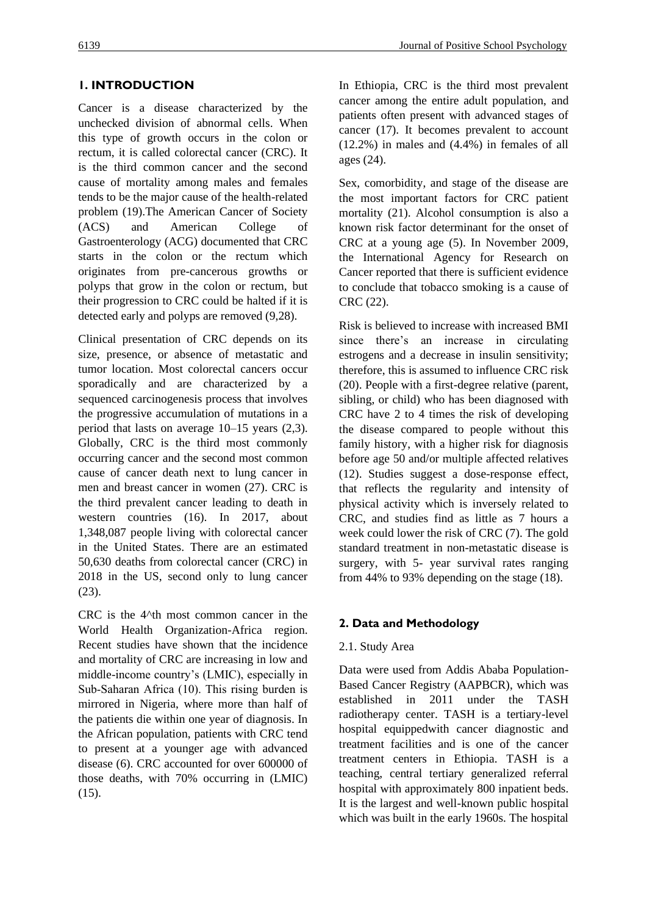# **1. INTRODUCTION**

Cancer is a disease characterized by the unchecked division of abnormal cells. When this type of growth occurs in the colon or rectum, it is called colorectal cancer (CRC). It is the third common cancer and the second cause of mortality among males and females tends to be the major cause of the health-related problem (19).The American Cancer of Society (ACS) and American College of Gastroenterology (ACG) documented that CRC starts in the colon or the rectum which originates from pre-cancerous growths or polyps that grow in the colon or rectum, but their progression to CRC could be halted if it is detected early and polyps are removed (9,28).

Clinical presentation of CRC depends on its size, presence, or absence of metastatic and tumor location. Most colorectal cancers occur sporadically and are characterized by a sequenced carcinogenesis process that involves the progressive accumulation of mutations in a period that lasts on average 10–15 years (2,3). Globally, CRC is the third most commonly occurring cancer and the second most common cause of cancer death next to lung cancer in men and breast cancer in women (27). CRC is the third prevalent cancer leading to death in western countries (16). In 2017, about 1,348,087 people living with colorectal cancer in the United States. There are an estimated 50,630 deaths from colorectal cancer (CRC) in 2018 in the US, second only to lung cancer (23).

CRC is the 4^th most common cancer in the World Health Organization-Africa region. Recent studies have shown that the incidence and mortality of CRC are increasing in low and middle-income country's (LMIC), especially in Sub‐Saharan Africa (10). This rising burden is mirrored in Nigeria, where more than half of the patients die within one year of diagnosis. In the African population, patients with CRC tend to present at a younger age with advanced disease (6). CRC accounted for over 600000 of those deaths, with 70% occurring in (LMIC)  $(15)$ .

In Ethiopia, CRC is the third most prevalent cancer among the entire adult population, and patients often present with advanced stages of cancer (17). It becomes prevalent to account (12.2%) in males and (4.4%) in females of all ages (24).

Sex, comorbidity, and stage of the disease are the most important factors for CRC patient mortality (21). Alcohol consumption is also a known risk factor determinant for the onset of CRC at a young age (5). In November 2009, the International Agency for Research on Cancer reported that there is sufficient evidence to conclude that tobacco smoking is a cause of CRC (22).

Risk is believed to increase with increased BMI since there's an increase in circulating estrogens and a decrease in insulin sensitivity; therefore, this is assumed to influence CRC risk (20). People with a first-degree relative (parent, sibling, or child) who has been diagnosed with CRC have 2 to 4 times the risk of developing the disease compared to people without this family history, with a higher risk for diagnosis before age 50 and/or multiple affected relatives (12). Studies suggest a dose-response effect, that reflects the regularity and intensity of physical activity which is inversely related to CRC, and studies find as little as 7 hours a week could lower the risk of CRC (7). The gold standard treatment in non-metastatic disease is surgery, with 5- year survival rates ranging from 44% to 93% depending on the stage (18).

# **2. Data and Methodology**

# 2.1. Study Area

Data were used from Addis Ababa Population-Based Cancer Registry (AAPBCR), which was established in 2011 under the TASH radiotherapy center. TASH is a tertiary-level hospital equippedwith cancer diagnostic and treatment facilities and is one of the cancer treatment centers in Ethiopia. TASH is a teaching, central tertiary generalized referral hospital with approximately 800 inpatient beds. It is the largest and well-known public hospital which was built in the early 1960s. The hospital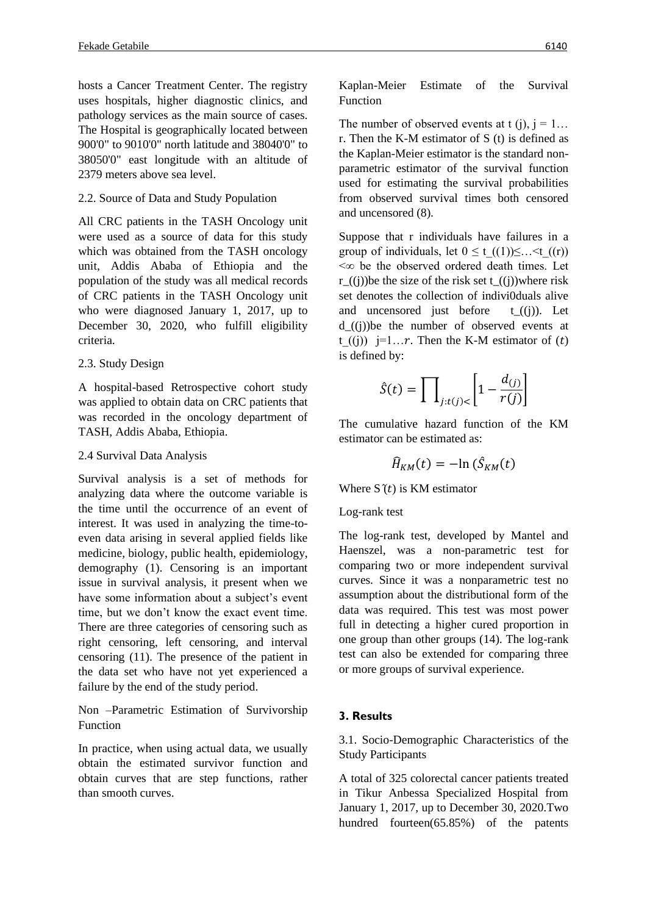hosts a Cancer Treatment Center. The registry uses hospitals, higher diagnostic clinics, and pathology services as the main source of cases. The Hospital is geographically located between 900'0" to 9010'0" north latitude and 38040'0" to 38050'0" east longitude with an altitude of 2379 meters above sea level.

# 2.2. Source of Data and Study Population

All CRC patients in the TASH Oncology unit were used as a source of data for this study which was obtained from the TASH oncology unit, Addis Ababa of Ethiopia and the population of the study was all medical records of CRC patients in the TASH Oncology unit who were diagnosed January 1, 2017, up to December 30, 2020, who fulfill eligibility criteria.

# 2.3. Study Design

A hospital-based Retrospective cohort study was applied to obtain data on CRC patients that was recorded in the oncology department of TASH, Addis Ababa, Ethiopia.

## 2.4 Survival Data Analysis

Survival analysis is a set of methods for analyzing data where the outcome variable is the time until the occurrence of an event of interest. It was used in analyzing the time-toeven data arising in several applied fields like medicine, biology, public health, epidemiology, demography (1). Censoring is an important issue in survival analysis, it present when we have some information about a subject's event time, but we don't know the exact event time. There are three categories of censoring such as right censoring, left censoring, and interval censoring (11). The presence of the patient in the data set who have not yet experienced a failure by the end of the study period.

Non –Parametric Estimation of Survivorship Function

In practice, when using actual data, we usually obtain the estimated survivor function and obtain curves that are step functions, rather than smooth curves.

Kaplan-Meier Estimate of the Survival Function

The number of observed events at t (j),  $j = 1...$ r. Then the K-M estimator of S (t) is defined as the Kaplan-Meier estimator is the standard nonparametric estimator of the survival function used for estimating the survival probabilities from observed survival times both censored and uncensored (8).

Suppose that r individuals have failures in a group of individuals, let  $0 \le t$   $((1))\le ... \le t$   $((r))$ <∞ be the observed ordered death times. Let r. ((i))be the size of the risk set t. ((i))where risk set denotes the collection of indivi0duals alive and uncensored just before  $t_1((i))$ . Let d\_((j))be the number of observed events at t  $((i))$  j=1…*r*. Then the K-M estimator of  $(t)$ is defined by:

$$
\hat{S}(t) = \prod_{j:t(j) <} \left[ 1 - \frac{d_{(j)}}{r(j)} \right]
$$

The cumulative hazard function of the KM estimator can be estimated as:

$$
\widehat{H}_{KM}(t) = -\ln\left(\widehat{S}_{KM}(t)\right)
$$

Where  $S(t)$  is KM estimator

# Log-rank test

The log-rank test, developed by Mantel and Haenszel, was a non-parametric test for comparing two or more independent survival curves. Since it was a nonparametric test no assumption about the distributional form of the data was required. This test was most power full in detecting a higher cured proportion in one group than other groups (14). The log-rank test can also be extended for comparing three or more groups of survival experience.

# **3. Results**

3.1. Socio-Demographic Characteristics of the Study Participants

A total of 325 colorectal cancer patients treated in Tikur Anbessa Specialized Hospital from January 1, 2017, up to December 30, 2020.Two hundred fourteen(65.85%) of the patents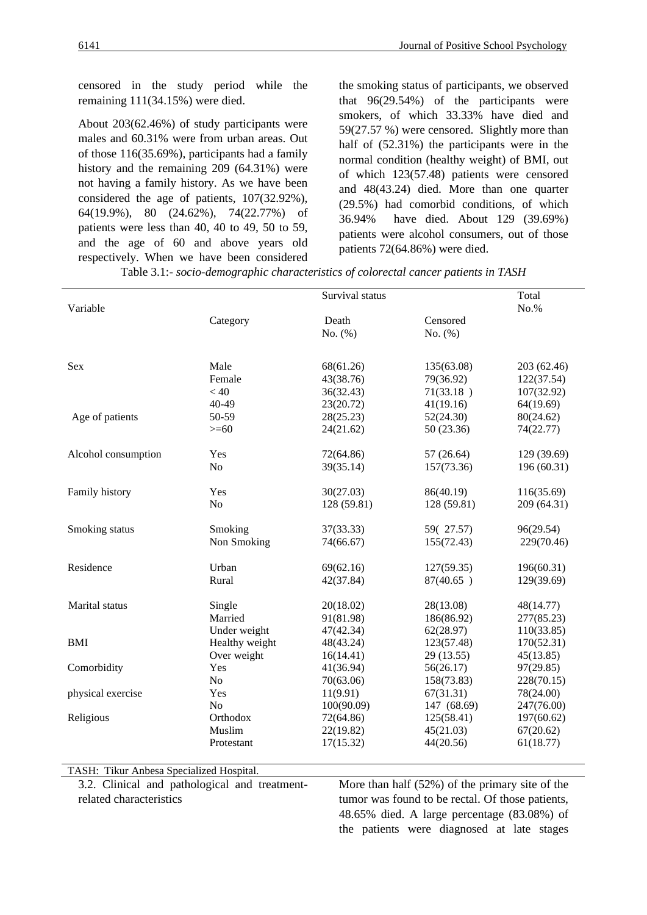censored in the study period while the remaining 111(34.15%) were died.

About 203(62.46%) of study participants were males and 60.31% were from urban areas. Out of those 116(35.69%), participants had a family history and the remaining 209 (64.31%) were not having a family history. As we have been considered the age of patients, 107(32.92%), 64(19.9%), 80 (24.62%), 74(22.77%) of patients were less than 40, 40 to 49, 50 to 59, and the age of 60 and above years old respectively. When we have been considered the smoking status of participants, we observed that 96(29.54%) of the participants were smokers, of which 33.33% have died and 59(27.57 %) were censored. Slightly more than half of (52.31%) the participants were in the normal condition (healthy weight) of BMI, out of which 123(57.48) patients were censored and 48(43.24) died. More than one quarter (29.5%) had comorbid conditions, of which 36.94% have died. About 129 (39.69%) patients were alcohol consumers, out of those patients 72(64.86%) were died.

Table 3.1:- *socio-demographic characteristics of colorectal cancer patients in TASH*

|                     |                | Survival status |             | Total<br>No.% |  |
|---------------------|----------------|-----------------|-------------|---------------|--|
| Variable            |                |                 |             |               |  |
|                     | Category       | Death           | Censored    |               |  |
|                     |                | No. (%)         | No. (%)     |               |  |
|                     |                |                 |             |               |  |
| Sex                 | Male           | 68(61.26)       | 135(63.08)  | 203 (62.46)   |  |
|                     | Female         | 43(38.76)       | 79(36.92)   | 122(37.54)    |  |
|                     | < 40           | 36(32.43)       | 71(33.18)   | 107(32.92)    |  |
|                     | 40-49          | 23(20.72)       | 41(19.16)   | 64(19.69)     |  |
| Age of patients     | 50-59          | 28(25.23)       | 52(24.30)   | 80(24.62)     |  |
|                     | $>= 60$        | 24(21.62)       | 50 (23.36)  | 74(22.77)     |  |
| Alcohol consumption | Yes            | 72(64.86)       | 57(26.64)   | 129 (39.69)   |  |
|                     | N <sub>o</sub> | 39(35.14)       | 157(73.36)  | 196 (60.31)   |  |
| Family history      | Yes            | 30(27.03)       | 86(40.19)   | 116(35.69)    |  |
|                     | No             | 128 (59.81)     | 128 (59.81) | 209 (64.31)   |  |
| Smoking status      | Smoking        | 37(33.33)       | 59(27.57)   | 96(29.54)     |  |
|                     | Non Smoking    | 74(66.67)       | 155(72.43)  | 229(70.46)    |  |
| Residence           | Urban          | 69(62.16)       | 127(59.35)  | 196(60.31)    |  |
|                     | Rural          | 42(37.84)       | 87(40.65)   | 129(39.69)    |  |
| Marital status      |                |                 |             |               |  |
|                     | Single         | 20(18.02)       | 28(13.08)   | 48(14.77)     |  |
|                     | Married        | 91(81.98)       | 186(86.92)  | 277(85.23)    |  |
|                     | Under weight   | 47(42.34)       | 62(28.97)   | 110(33.85)    |  |
| <b>BMI</b>          | Healthy weight | 48(43.24)       | 123(57.48)  | 170(52.31)    |  |
|                     | Over weight    | 16(14.41)       | 29 (13.55)  | 45(13.85)     |  |
| Comorbidity         | Yes            | 41(36.94)       | 56(26.17)   | 97(29.85)     |  |
|                     | N <sub>o</sub> | 70(63.06)       | 158(73.83)  | 228(70.15)    |  |
| physical exercise   | Yes            | 11(9.91)        | 67(31.31)   | 78(24.00)     |  |
|                     | No             | 100(90.09)      | 147 (68.69) | 247(76.00)    |  |
| Religious           | Orthodox       | 72(64.86)       | 125(58.41)  | 197(60.62)    |  |
|                     | Muslim         | 22(19.82)       | 45(21.03)   | 67(20.62)     |  |
|                     | Protestant     | 17(15.32)       | 44(20.56)   | 61(18.77)     |  |

TASH: Tikur Anbesa Specialized Hospital.

3.2. Clinical and pathological and treatment-

related characteristics

More than half (52%) of the primary site of the tumor was found to be rectal. Of those patients, 48.65% died. A large percentage (83.08%) of the patients were diagnosed at late stages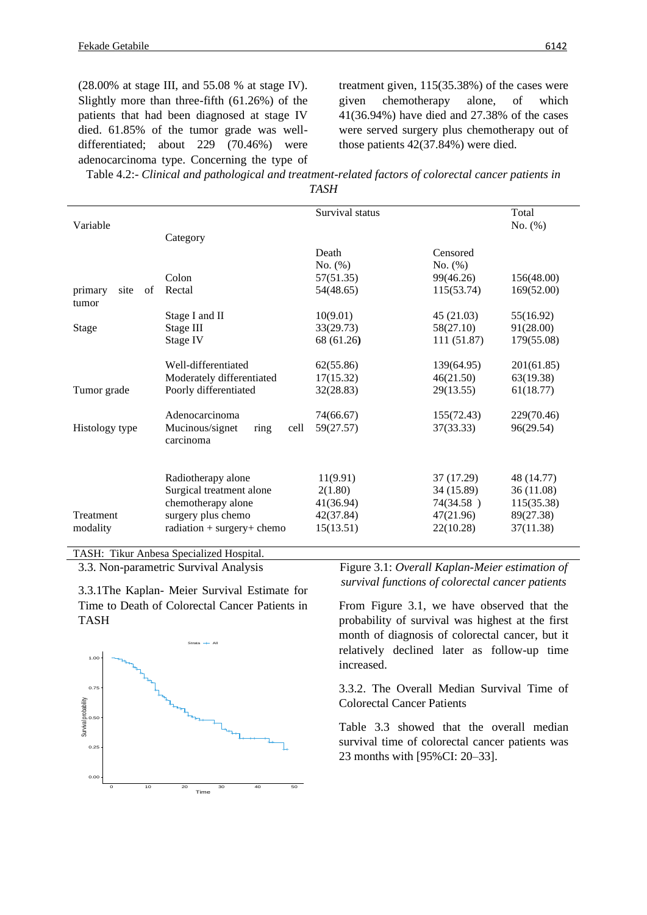(28.00% at stage III, and 55.08 % at stage IV). Slightly more than three-fifth (61.26%) of the patients that had been diagnosed at stage IV died. 61.85% of the tumor grade was welldifferentiated; about 229 (70.46%) were adenocarcinoma type. Concerning the type of treatment given, 115(35.38%) of the cases were given chemotherapy alone, of which 41(36.94%) have died and 27.38% of the cases were served surgery plus chemotherapy out of those patients 42(37.84%) were died.

| Table 4.2:- Clinical and pathological and treatment-related factors of colorectal cancer patients in |  |
|------------------------------------------------------------------------------------------------------|--|
| TASH                                                                                                 |  |

|                                |                                              | Survival status |             | Total      |
|--------------------------------|----------------------------------------------|-----------------|-------------|------------|
| Variable                       |                                              |                 |             | No. $(\%)$ |
|                                | Category                                     |                 |             |            |
|                                |                                              | Death           | Censored    |            |
|                                |                                              | No. $(\%)$      | No. (%)     |            |
|                                | Colon                                        | 57(51.35)       | 99(46.26)   | 156(48.00) |
| primary<br>site<br>of<br>tumor | Rectal                                       | 54(48.65)       | 115(53.74)  | 169(52.00) |
|                                | Stage I and II                               | 10(9.01)        | 45 (21.03)  | 55(16.92)  |
| <b>Stage</b>                   | Stage III                                    | 33(29.73)       | 58(27.10)   | 91(28.00)  |
|                                | Stage IV                                     | 68 (61.26)      | 111 (51.87) | 179(55.08) |
|                                |                                              |                 |             |            |
|                                | Well-differentiated                          | 62(55.86)       | 139(64.95)  | 201(61.85) |
|                                | Moderately differentiated                    | 17(15.32)       | 46(21.50)   | 63(19.38)  |
| Tumor grade                    | Poorly differentiated                        | 32(28.83)       | 29(13.55)   | 61(18.77)  |
|                                |                                              |                 |             |            |
|                                | Adenocarcinoma                               | 74(66.67)       | 155(72.43)  | 229(70.46) |
| Histology type                 | Mucinous/signet<br>cell<br>ring<br>carcinoma | 59(27.57)       | 37(33.33)   | 96(29.54)  |
|                                |                                              |                 |             |            |
|                                | Radiotherapy alone                           | 11(9.91)        | 37 (17.29)  | 48 (14.77) |
|                                | Surgical treatment alone                     | 2(1.80)         | 34 (15.89)  | 36 (11.08) |
|                                | chemotherapy alone                           | 41(36.94)       | 74(34.58)   | 115(35.38) |
| Treatment                      | surgery plus chemo                           | 42(37.84)       | 47(21.96)   | 89(27.38)  |
| modality                       | $radiation + surgery + chemo$                | 15(13.51)       | 22(10.28)   | 37(11.38)  |
|                                |                                              |                 |             |            |

TASH: Tikur Anbesa Specialized Hospital. 3.3. Non-parametric Survival Analysis

3.3.1The Kaplan- Meier Survival Estimate for Time to Death of Colorectal Cancer Patients in TASH



Figure 3.1: *Overall Kaplan-Meier estimation of survival functions of colorectal cancer patients*

From Figure 3.1, we have observed that the probability of survival was highest at the first month of diagnosis of colorectal cancer, but it relatively declined later as follow-up time increased.

3.3.2. The Overall Median Survival Time of Colorectal Cancer Patients

Table 3.3 showed that the overall median survival time of colorectal cancer patients was 23 months with [95%CI: 20–33].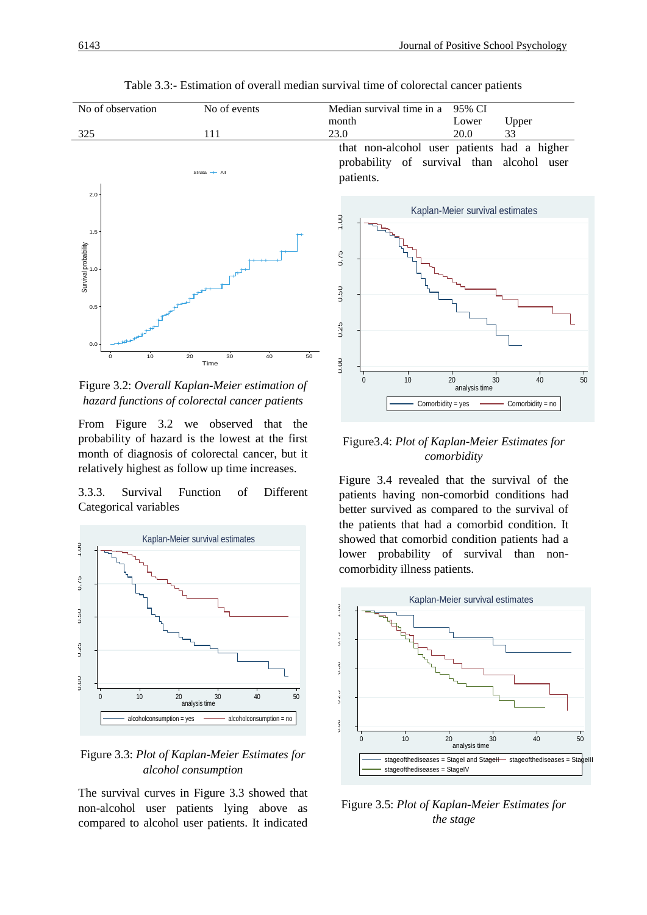95% CI

Lower Upper



Table 3.3:- Estimation of overall median survival time of colorectal cancer patients

Figure 3.2: *Overall Kaplan-Meier estimation of hazard functions of colorectal cancer patients*

From Figure 3.2 we observed that the probability of hazard is the lowest at the first month of diagnosis of colorectal cancer, but it relatively highest as follow up time increases.

3.3.3. Survival Function of Different Categorical variables



Figure 3.3: *Plot of Kaplan-Meier Estimates for alcohol consumption*

The survival curves in Figure 3.3 showed that non-alcohol user patients lying above as compared to alcohol user patients. It indicated 0.00 0.25 0.50 0.75 1.00 0 10 20 30 40 50 analysis time  $Comorbidity = yes$   $\longrightarrow$  Comorbidity = no Kaplan-Meier survival estimates

## Figure3.4: *Plot of Kaplan-Meier Estimates for comorbidity*

Figure 3.4 revealed that the survival of the patients having non-comorbid conditions had better survived as compared to the survival of the patients that had a comorbid condition. It showed that comorbid condition patients had a lower probability of survival than noncomorbidity illness patients.



Figure 3.5: *Plot of Kaplan-Meier Estimates for the stage*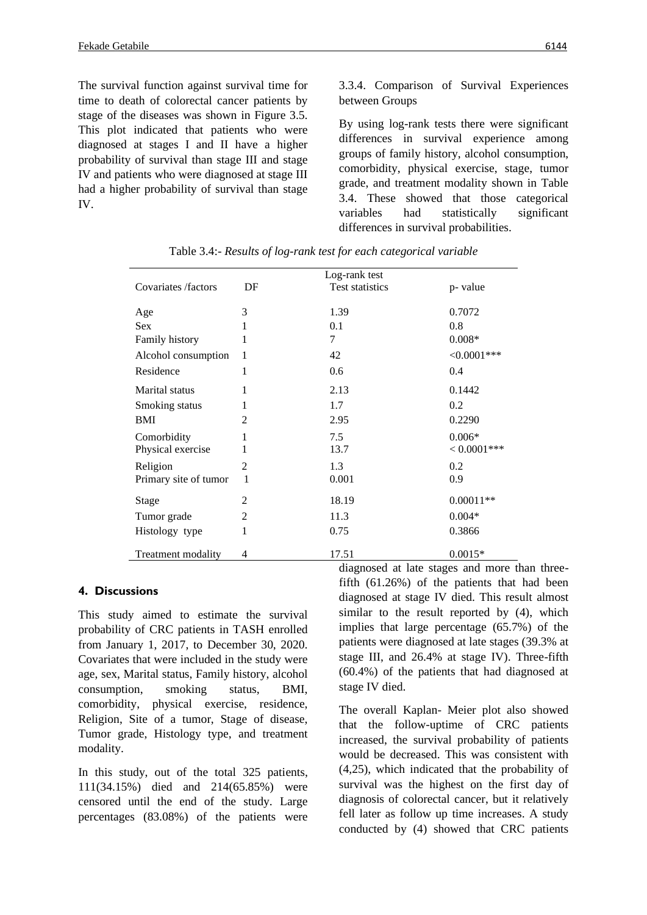The survival function against survival time for time to death of colorectal cancer patients by stage of the diseases was shown in Figure 3.5. This plot indicated that patients who were diagnosed at stages I and II have a higher probability of survival than stage III and stage IV and patients who were diagnosed at stage III had a higher probability of survival than stage IV.

3.3.4. Comparison of Survival Experiences between Groups

By using log-rank tests there were significant differences in survival experience among groups of family history, alcohol consumption, comorbidity, physical exercise, stage, tumor grade, and treatment modality shown in Table 3.4. These showed that those categorical variables had statistically significant differences in survival probabilities.

|                       |                | Log-rank test                                   |                |
|-----------------------|----------------|-------------------------------------------------|----------------|
| Covariates /factors   | DF             | <b>Test statistics</b>                          | p-value        |
|                       |                |                                                 |                |
| Age                   | 3              | 1.39                                            | 0.7072         |
| <b>Sex</b>            |                | 0.1                                             | 0.8            |
| Family history        | 1              | 7                                               | $0.008*$       |
| Alcohol consumption   | 1              | 42                                              | $<0.0001***$   |
| Residence             | 1              | 0.6                                             | 0.4            |
| <b>Marital</b> status | 1              | 2.13                                            | 0.1442         |
| Smoking status        | 1              | 1.7                                             | 0.2            |
| <b>BMI</b>            | 2              | 2.95                                            | 0.2290         |
| Comorbidity           | 1              | 7.5                                             | $0.006*$       |
| Physical exercise     | 1              | 13.7                                            | $< 0.0001$ *** |
| Religion              | $\overline{c}$ | 1.3                                             | 0.2            |
| Primary site of tumor | 1              | 0.001                                           | 0.9            |
| Stage                 | 2              | 18.19                                           | $0.00011**$    |
| Tumor grade           | 2              | 11.3                                            | $0.004*$       |
| Histology type        | 1              | 0.75                                            | 0.3866         |
| Treatment modality    | 4              | 17.51<br>$\mathbf{1}$ $\mathbf{1}$<br>$\bullet$ | $0.0015*$      |

Table 3.4:- *Results of log-rank test for each categorical variable*

#### **4. Discussions**

This study aimed to estimate the survival probability of CRC patients in TASH enrolled from January 1, 2017, to December 30, 2020. Covariates that were included in the study were age, sex, Marital status, Family history, alcohol consumption, smoking status, BMI, comorbidity, physical exercise, residence, Religion, Site of a tumor, Stage of disease, Tumor grade, Histology type, and treatment modality.

In this study, out of the total 325 patients, 111(34.15%) died and 214(65.85%) were censored until the end of the study. Large percentages (83.08%) of the patients were diagnosed at late stages and more than threefifth (61.26%) of the patients that had been diagnosed at stage IV died. This result almost similar to the result reported by  $(4)$ , which implies that large percentage (65.7%) of the patients were diagnosed at late stages (39.3% at stage III, and 26.4% at stage IV). Three-fifth (60.4%) of the patients that had diagnosed at stage IV died.

The overall Kaplan- Meier plot also showed that the follow-uptime of CRC patients increased, the survival probability of patients would be decreased. This was consistent with (4,25), which indicated that the probability of survival was the highest on the first day of diagnosis of colorectal cancer, but it relatively fell later as follow up time increases. A study conducted by (4) showed that CRC patients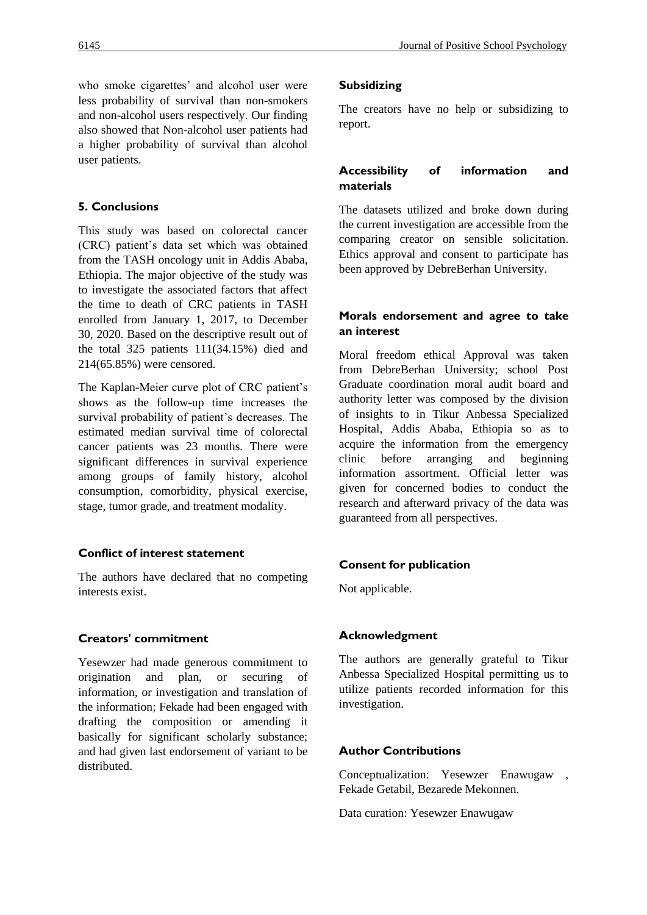who smoke cigarettes' and alcohol user were less probability of survival than non-smokers and non-alcohol users respectively. Our finding also showed that Non-alcohol user patients had a higher probability of survival than alcohol user patients.

# **5. Conclusions**

This study was based on colorectal cancer (CRC) patient's data set which was obtained from the TASH oncology unit in Addis Ababa, Ethiopia. The major objective of the study was to investigate the associated factors that affect the time to death of CRC patients in TASH enrolled from January 1, 2017, to December 30, 2020. Based on the descriptive result out of the total 325 patients 111(34.15%) died and 214(65.85%) were censored.

The Kaplan-Meier curve plot of CRC patient's shows as the follow-up time increases the survival probability of patient's decreases. The estimated median survival time of colorectal cancer patients was 23 months. There were significant differences in survival experience among groups of family history, alcohol consumption, comorbidity, physical exercise, stage, tumor grade, and treatment modality.

## **Conflict of interest statement**

The authors have declared that no competing interests exist.

## **Creators' commitment**

Yesewzer had made generous commitment to origination and plan, or securing of information, or investigation and translation of the information; Fekade had been engaged with drafting the composition or amending it basically for significant scholarly substance; and had given last endorsement of variant to be distributed.

## **Subsidizing**

The creators have no help or subsidizing to report.

# **Accessibility of information and materials**

The datasets utilized and broke down during the current investigation are accessible from the comparing creator on sensible solicitation. Ethics approval and consent to participate has been approved by DebreBerhan University.

## **Morals endorsement and agree to take an interest**

Moral freedom ethical Approval was taken from DebreBerhan University; school Post Graduate coordination moral audit board and authority letter was composed by the division of insights to in Tikur Anbessa Specialized Hospital, Addis Ababa, Ethiopia so as to acquire the information from the emergency clinic before arranging and beginning information assortment. Official letter was given for concerned bodies to conduct the research and afterward privacy of the data was guaranteed from all perspectives.

# **Consent for publication**

Not applicable.

## **Acknowledgment**

The authors are generally grateful to Tikur Anbessa Specialized Hospital permitting us to utilize patients recorded information for this investigation.

## **Author Contributions**

Conceptualization: Yesewzer Enawugaw , Fekade Getabil, Bezarede Mekonnen.

Data curation: Yesewzer Enawugaw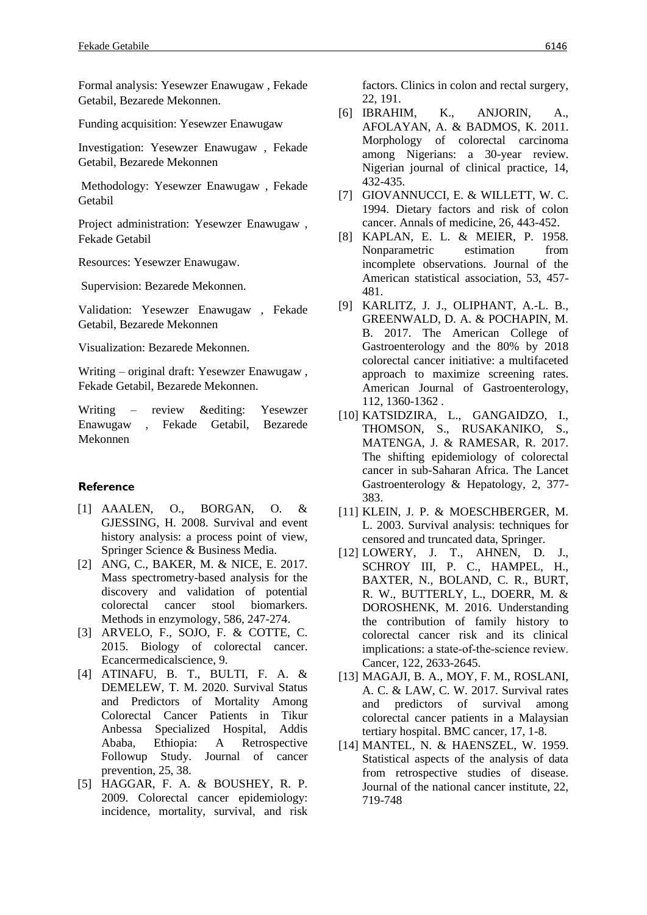Formal analysis: Yesewzer Enawugaw , Fekade Getabil, Bezarede Mekonnen.

Funding acquisition: Yesewzer Enawugaw

Investigation: Yesewzer Enawugaw , Fekade Getabil, Bezarede Mekonnen

Methodology: Yesewzer Enawugaw , Fekade Getabil

Project administration: Yesewzer Enawugaw , Fekade Getabil

Resources: Yesewzer Enawugaw.

Supervision: Bezarede Mekonnen.

Validation: Yesewzer Enawugaw , Fekade Getabil, Bezarede Mekonnen

Visualization: Bezarede Mekonnen.

Writing – original draft: Yesewzer Enawugaw , Fekade Getabil, Bezarede Mekonnen.

Writing – review &editing: Yesewzer Enawugaw , Fekade Getabil, Bezarede Mekonnen

#### **Reference**

- [1] AAALEN, O., BORGAN, O. & GJESSING, H. 2008. Survival and event history analysis: a process point of view, Springer Science & Business Media.
- [2] ANG, C., BAKER, M. & NICE, E. 2017. Mass spectrometry-based analysis for the discovery and validation of potential colorectal cancer stool biomarkers. Methods in enzymology, 586, 247-274.
- [3] ARVELO, F., SOJO, F. & COTTE, C. 2015. Biology of colorectal cancer. Ecancermedicalscience, 9.
- [4] ATINAFU, B. T., BULTI, F. A. & DEMELEW, T. M. 2020. Survival Status and Predictors of Mortality Among Colorectal Cancer Patients in Tikur Anbessa Specialized Hospital, Addis Ababa, Ethiopia: A Retrospective Followup Study. Journal of cancer prevention, 25, 38.
- [5] HAGGAR, F. A. & BOUSHEY, R. P. 2009. Colorectal cancer epidemiology: incidence, mortality, survival, and risk

factors. Clinics in colon and rectal surgery, 22, 191.

- [6] IBRAHIM, K., ANJORIN, A., AFOLAYAN, A. & BADMOS, K. 2011. Morphology of colorectal carcinoma among Nigerians: a 30-year review. Nigerian journal of clinical practice, 14, 432-435.
- [7] GIOVANNUCCI, E. & WILLETT, W. C. 1994. Dietary factors and risk of colon cancer. Annals of medicine, 26, 443-452.
- [8] KAPLAN, E. L. & MEIER, P. 1958. Nonparametric estimation from incomplete observations. Journal of the American statistical association, 53, 457- 481.
- [9] KARLITZ, J. J., OLIPHANT, A.-L. B., GREENWALD, D. A. & POCHAPIN, M. B. 2017. The American College of Gastroenterology and the 80% by 2018 colorectal cancer initiative: a multifaceted approach to maximize screening rates. American Journal of Gastroenterology, 112, 1360-1362 .
- [10] KATSIDZIRA, L., GANGAIDZO, I., THOMSON, S., RUSAKANIKO, S., MATENGA, J. & RAMESAR, R. 2017. The shifting epidemiology of colorectal cancer in sub-Saharan Africa. The Lancet Gastroenterology & Hepatology, 2, 377- 383.
- [11] KLEIN, J. P. & MOESCHBERGER, M. L. 2003. Survival analysis: techniques for censored and truncated data, Springer.
- [12] LOWERY, J. T., AHNEN, D. J., SCHROY III, P. C., HAMPEL, H., BAXTER, N., BOLAND, C. R., BURT, R. W., BUTTERLY, L., DOERR, M. & DOROSHENK, M. 2016. Understanding the contribution of family history to colorectal cancer risk and its clinical implications: a state‐of‐the‐science review. Cancer, 122, 2633-2645.
- [13] MAGAJI, B. A., MOY, F. M., ROSLANI, A. C. & LAW, C. W. 2017. Survival rates and predictors of survival among colorectal cancer patients in a Malaysian tertiary hospital. BMC cancer, 17, 1-8.
- [14] MANTEL, N. & HAENSZEL, W. 1959. Statistical aspects of the analysis of data from retrospective studies of disease. Journal of the national cancer institute, 22, 719-748